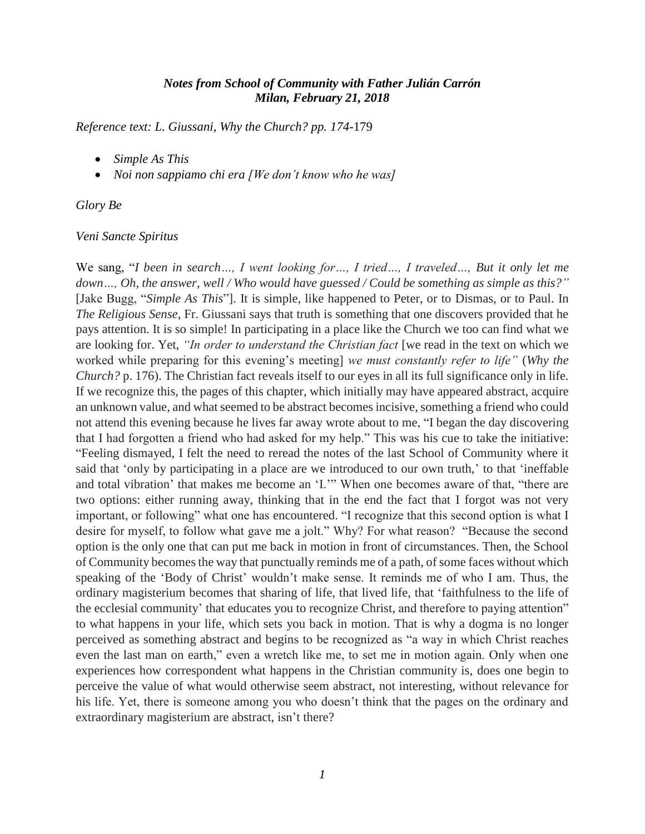## *Notes from School of Community with Father Julián Carrón Milan, February 21, 2018*

*Reference text: L. Giussani, Why the Church? pp. 174*-179

- *Simple As This*
- *Noi non sappiamo chi era [We don't know who he was]*

#### *Glory Be*

#### *Veni Sancte Spiritus*

We sang, "*I been in search…, I went looking for…, I tried…, I traveled…, But it only let me down…, Oh, the answer, well / Who would have guessed / Could be something as simple as this?"*  [Jake Bugg, "*Simple As This*"]. It is simple, like happened to Peter, or to Dismas, or to Paul. In *The Religious Sense*, Fr. Giussani says that truth is something that one discovers provided that he pays attention. It is so simple! In participating in a place like the Church we too can find what we are looking for. Yet, *"In order to understand the Christian fact* [we read in the text on which we worked while preparing for this evening's meeting] *we must constantly refer to life"* (*Why the Church?* p. 176). The Christian fact reveals itself to our eyes in all its full significance only in life. If we recognize this, the pages of this chapter, which initially may have appeared abstract, acquire an unknown value, and what seemed to be abstract becomes incisive, something a friend who could not attend this evening because he lives far away wrote about to me, "I began the day discovering that I had forgotten a friend who had asked for my help." This was his cue to take the initiative: "Feeling dismayed, I felt the need to reread the notes of the last School of Community where it said that 'only by participating in a place are we introduced to our own truth,' to that 'ineffable and total vibration' that makes me become an 'I.'" When one becomes aware of that, "there are two options: either running away, thinking that in the end the fact that I forgot was not very important, or following" what one has encountered. "I recognize that this second option is what I desire for myself, to follow what gave me a jolt." Why? For what reason? "Because the second option is the only one that can put me back in motion in front of circumstances. Then, the School of Community becomes the way that punctually reminds me of a path, of some faces without which speaking of the 'Body of Christ' wouldn't make sense. It reminds me of who I am. Thus, the ordinary magisterium becomes that sharing of life, that lived life, that 'faithfulness to the life of the ecclesial community' that educates you to recognize Christ, and therefore to paying attention" to what happens in your life, which sets you back in motion. That is why a dogma is no longer perceived as something abstract and begins to be recognized as "a way in which Christ reaches even the last man on earth," even a wretch like me, to set me in motion again. Only when one experiences how correspondent what happens in the Christian community is, does one begin to perceive the value of what would otherwise seem abstract, not interesting, without relevance for his life. Yet, there is someone among you who doesn't think that the pages on the ordinary and extraordinary magisterium are abstract, isn't there?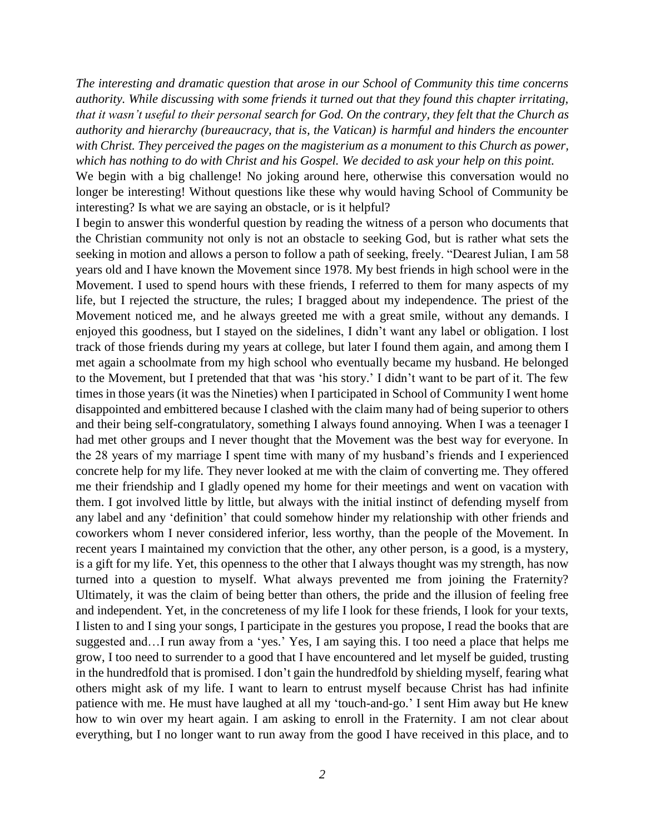*The interesting and dramatic question that arose in our School of Community this time concerns authority. While discussing with some friends it turned out that they found this chapter irritating, that it wasn't useful to their personal search for God. On the contrary, they felt that the Church as authority and hierarchy (bureaucracy, that is, the Vatican) is harmful and hinders the encounter with Christ. They perceived the pages on the magisterium as a monument to this Church as power, which has nothing to do with Christ and his Gospel. We decided to ask your help on this point.*

We begin with a big challenge! No joking around here, otherwise this conversation would no longer be interesting! Without questions like these why would having School of Community be interesting? Is what we are saying an obstacle, or is it helpful?

I begin to answer this wonderful question by reading the witness of a person who documents that the Christian community not only is not an obstacle to seeking God, but is rather what sets the seeking in motion and allows a person to follow a path of seeking, freely. "Dearest Julian, I am 58 years old and I have known the Movement since 1978. My best friends in high school were in the Movement. I used to spend hours with these friends, I referred to them for many aspects of my life, but I rejected the structure, the rules; I bragged about my independence. The priest of the Movement noticed me, and he always greeted me with a great smile, without any demands. I enjoyed this goodness, but I stayed on the sidelines, I didn't want any label or obligation. I lost track of those friends during my years at college, but later I found them again, and among them I met again a schoolmate from my high school who eventually became my husband. He belonged to the Movement, but I pretended that that was 'his story.' I didn't want to be part of it. The few times in those years (it was the Nineties) when I participated in School of Community I went home disappointed and embittered because I clashed with the claim many had of being superior to others and their being self-congratulatory, something I always found annoying. When I was a teenager I had met other groups and I never thought that the Movement was the best way for everyone. In the 28 years of my marriage I spent time with many of my husband's friends and I experienced concrete help for my life. They never looked at me with the claim of converting me. They offered me their friendship and I gladly opened my home for their meetings and went on vacation with them. I got involved little by little, but always with the initial instinct of defending myself from any label and any 'definition' that could somehow hinder my relationship with other friends and coworkers whom I never considered inferior, less worthy, than the people of the Movement. In recent years I maintained my conviction that the other, any other person, is a good, is a mystery, is a gift for my life. Yet, this openness to the other that I always thought was my strength, has now turned into a question to myself. What always prevented me from joining the Fraternity? Ultimately, it was the claim of being better than others, the pride and the illusion of feeling free and independent. Yet, in the concreteness of my life I look for these friends, I look for your texts, I listen to and I sing your songs, I participate in the gestures you propose, I read the books that are suggested and…I run away from a 'yes.' Yes, I am saying this. I too need a place that helps me grow, I too need to surrender to a good that I have encountered and let myself be guided, trusting in the hundredfold that is promised. I don't gain the hundredfold by shielding myself, fearing what others might ask of my life. I want to learn to entrust myself because Christ has had infinite patience with me. He must have laughed at all my 'touch-and-go.' I sent Him away but He knew how to win over my heart again. I am asking to enroll in the Fraternity. I am not clear about everything, but I no longer want to run away from the good I have received in this place, and to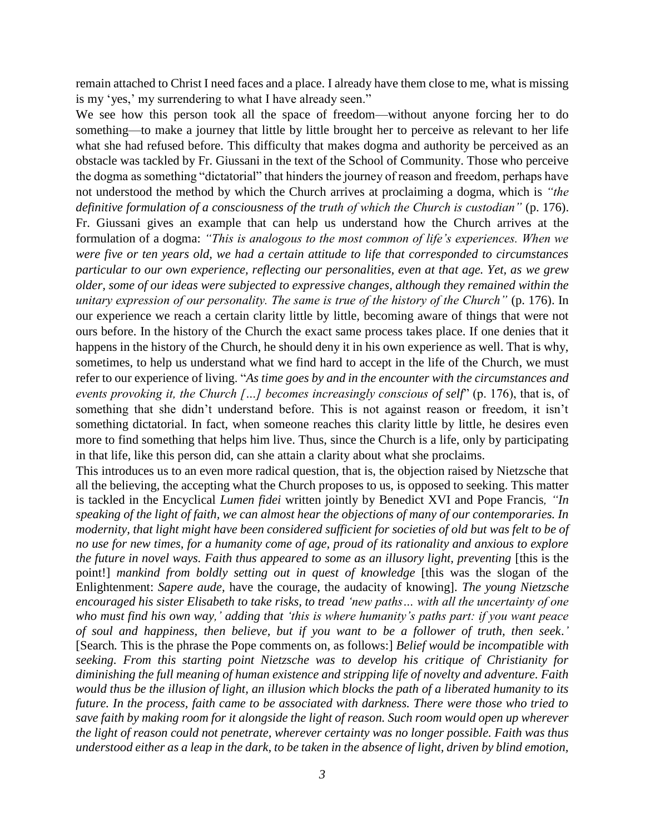remain attached to Christ I need faces and a place. I already have them close to me, what is missing is my 'yes,' my surrendering to what I have already seen."

We see how this person took all the space of freedom—without anyone forcing her to do something—to make a journey that little by little brought her to perceive as relevant to her life what she had refused before. This difficulty that makes dogma and authority be perceived as an obstacle was tackled by Fr. Giussani in the text of the School of Community. Those who perceive the dogma as something "dictatorial" that hinders the journey of reason and freedom, perhaps have not understood the method by which the Church arrives at proclaiming a dogma, which is *"the definitive formulation of a consciousness of the truth of which the Church is custodian"* (p. 176). Fr. Giussani gives an example that can help us understand how the Church arrives at the formulation of a dogma: *"This is analogous to the most common of life's experiences. When we were five or ten years old, we had a certain attitude to life that corresponded to circumstances particular to our own experience, reflecting our personalities, even at that age. Yet, as we grew older, some of our ideas were subjected to expressive changes, although they remained within the unitary expression of our personality. The same is true of the history of the Church"* (p. 176). In our experience we reach a certain clarity little by little, becoming aware of things that were not ours before. In the history of the Church the exact same process takes place. If one denies that it happens in the history of the Church, he should deny it in his own experience as well. That is why, sometimes, to help us understand what we find hard to accept in the life of the Church, we must refer to our experience of living. "*As time goes by and in the encounter with the circumstances and events provoking it, the Church […] becomes increasingly conscious of self*" (p. 176), that is, of something that she didn't understand before. This is not against reason or freedom, it isn't something dictatorial. In fact, when someone reaches this clarity little by little, he desires even more to find something that helps him live. Thus, since the Church is a life, only by participating in that life, like this person did, can she attain a clarity about what she proclaims.

This introduces us to an even more radical question, that is, the objection raised by Nietzsche that all the believing, the accepting what the Church proposes to us, is opposed to seeking. This matter is tackled in the Encyclical *Lumen fidei* written jointly by Benedict XVI and Pope Francis*, "In speaking of the light of faith, we can almost hear the objections of many of our contemporaries. In modernity, that light might have been considered sufficient for societies of old but was felt to be of no use for new times, for a humanity come of age, proud of its rationality and anxious to explore the future in novel ways. Faith thus appeared to some as an illusory light, preventing [this is the* point!] *mankind from boldly setting out in quest of knowledge* [this was the slogan of the Enlightenment: *Sapere aude,* have the courage, the audacity of knowing]*. The young Nietzsche encouraged his sister Elisabeth to take risks, to tread 'new paths… with all the uncertainty of one who must find his own way,' adding that 'this is where humanity's paths part: if you want peace of soul and happiness, then believe, but if you want to be a follower of truth, then seek.'* [Search*.* This is the phrase the Pope comments on, as follows:] *Belief would be incompatible with seeking. From this starting point Nietzsche was to develop his critique of Christianity for diminishing the full meaning of human existence and stripping life of novelty and adventure. Faith would thus be the illusion of light, an illusion which blocks the path of a liberated humanity to its future. In the process, faith came to be associated with darkness. There were those who tried to save faith by making room for it alongside the light of reason. Such room would open up wherever the light of reason could not penetrate, wherever certainty was no longer possible. Faith was thus understood either as a leap in the dark, to be taken in the absence of light, driven by blind emotion,*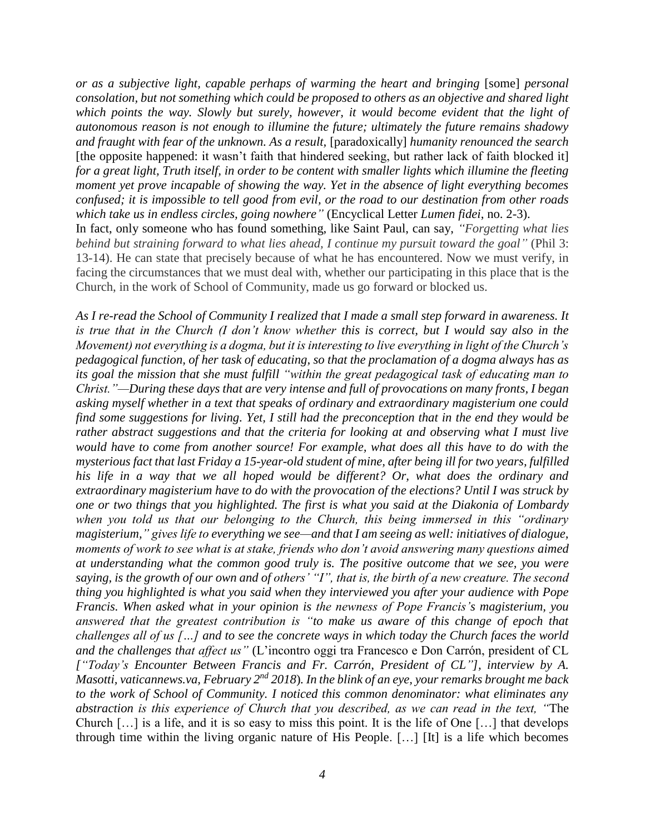*or as a subjective light, capable perhaps of warming the heart and bringing* [some] *personal consolation, but not something which could be proposed to others as an objective and shared light which points the way. Slowly but surely, however, it would become evident that the light of autonomous reason is not enough to illumine the future; ultimately the future remains shadowy and fraught with fear of the unknown. As a result,* [paradoxically] *humanity renounced the search* [the opposite happened: it wasn't faith that hindered seeking, but rather lack of faith blocked it] *for a great light, Truth itself, in order to be content with smaller lights which illumine the fleeting moment yet prove incapable of showing the way. Yet in the absence of light everything becomes confused; it is impossible to tell good from evil, or the road to our destination from other roads which take us in endless circles, going nowhere"* (Encyclical Letter *Lumen fidei*, no. 2-3). In fact, only someone who has found something, like Saint Paul, can say, *"Forgetting what lies behind but straining forward to what lies ahead, I continue my pursuit toward the goal"* (Phil 3: 13-14). He can state that precisely because of what he has encountered. Now we must verify, in facing the circumstances that we must deal with, whether our participating in this place that is the Church, in the work of School of Community, made us go forward or blocked us.

*As I re-read the School of Community I realized that I made a small step forward in awareness. It is true that in the Church (I don't know whether this is correct, but I would say also in the Movement) not everything is a dogma, but it is interesting to live everything in light of the Church's pedagogical function, of her task of educating, so that the proclamation of a dogma always has as its goal the mission that she must fulfill "within the great pedagogical task of educating man to Christ."—During these days that are very intense and full of provocations on many fronts, I began asking myself whether in a text that speaks of ordinary and extraordinary magisterium one could find some suggestions for living. Yet, I still had the preconception that in the end they would be rather abstract suggestions and that the criteria for looking at and observing what I must live would have to come from another source! For example, what does all this have to do with the mysterious fact that last Friday a 15-year-old student of mine, after being ill for two years, fulfilled his life in a way that we all hoped would be different? Or, what does the ordinary and extraordinary magisterium have to do with the provocation of the elections? Until I was struck by one or two things that you highlighted. The first is what you said at the Diakonia of Lombardy when you told us that our belonging to the Church, this being immersed in this "ordinary magisterium," gives life to everything we see—and that I am seeing as well: initiatives of dialogue, moments of work to see what is at stake, friends who don't avoid answering many questions aimed at understanding what the common good truly is. The positive outcome that we see, you were saying, is the growth of our own and of others' "I", that is, the birth of a new creature. The second thing you highlighted is what you said when they interviewed you after your audience with Pope Francis. When asked what in your opinion is the newness of Pope Francis's magisterium, you answered that the greatest contribution is "to make us aware of this change of epoch that challenges all of us […] and to see the concrete ways in which today the Church faces the world and the challenges that affect us"* (L'incontro oggi tra Francesco e Don Carrón, president of CL *["Today's Encounter Between Francis and Fr. Carrón, President of CL"], interview by A. Masotti, vaticannews.va, February 2nd 2018*)*. In the blink of an eye, your remarks brought me back to the work of School of Community. I noticed this common denominator: what eliminates any abstraction is this experience of Church that you described, as we can read in the text, "*The Church […] is a life, and it is so easy to miss this point. It is the life of One […] that develops through time within the living organic nature of His People. […] [It] is a life which becomes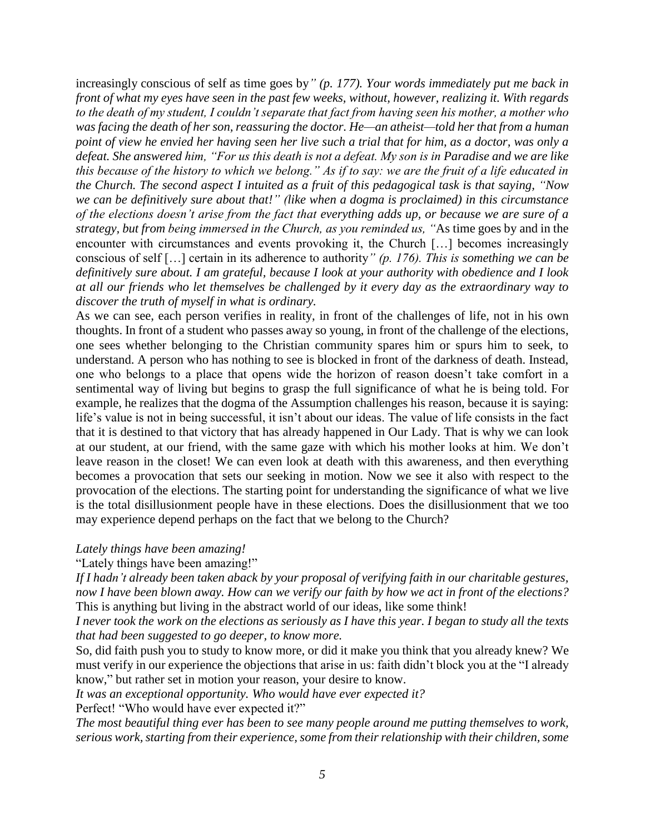increasingly conscious of self as time goes by*" (p. 177). Your words immediately put me back in front of what my eyes have seen in the past few weeks, without, however, realizing it. With regards to the death of my student, I couldn't separate that fact from having seen his mother, a mother who was facing the death of her son, reassuring the doctor. He—an atheist—told her that from a human point of view he envied her having seen her live such a trial that for him, as a doctor, was only a defeat. She answered him, "For us this death is not a defeat. My son is in Paradise and we are like this because of the history to which we belong." As if to say: we are the fruit of a life educated in the Church. The second aspect I intuited as a fruit of this pedagogical task is that saying, "Now we can be definitively sure about that!" (like when a dogma is proclaimed) in this circumstance of the elections doesn't arise from the fact that everything adds up, or because we are sure of a strategy, but from being immersed in the Church, as you reminded us, "*As time goes by and in the encounter with circumstances and events provoking it, the Church […] becomes increasingly conscious of self […] certain in its adherence to authority*" (p. 176). This is something we can be definitively sure about. I am grateful, because I look at your authority with obedience and I look at all our friends who let themselves be challenged by it every day as the extraordinary way to discover the truth of myself in what is ordinary.*

As we can see, each person verifies in reality, in front of the challenges of life, not in his own thoughts. In front of a student who passes away so young, in front of the challenge of the elections, one sees whether belonging to the Christian community spares him or spurs him to seek, to understand. A person who has nothing to see is blocked in front of the darkness of death. Instead, one who belongs to a place that opens wide the horizon of reason doesn't take comfort in a sentimental way of living but begins to grasp the full significance of what he is being told. For example, he realizes that the dogma of the Assumption challenges his reason, because it is saying: life's value is not in being successful, it isn't about our ideas. The value of life consists in the fact that it is destined to that victory that has already happened in Our Lady. That is why we can look at our student, at our friend, with the same gaze with which his mother looks at him. We don't leave reason in the closet! We can even look at death with this awareness, and then everything becomes a provocation that sets our seeking in motion. Now we see it also with respect to the provocation of the elections. The starting point for understanding the significance of what we live is the total disillusionment people have in these elections. Does the disillusionment that we too may experience depend perhaps on the fact that we belong to the Church?

### *Lately things have been amazing!*

"Lately things have been amazing!"

*If I hadn't already been taken aback by your proposal of verifying faith in our charitable gestures, now I have been blown away. How can we verify our faith by how we act in front of the elections?* This is anything but living in the abstract world of our ideas, like some think!

*I never took the work on the elections as seriously as I have this year. I began to study all the texts that had been suggested to go deeper, to know more.*

So, did faith push you to study to know more, or did it make you think that you already knew? We must verify in our experience the objections that arise in us: faith didn't block you at the "I already know," but rather set in motion your reason, your desire to know.

*It was an exceptional opportunity. Who would have ever expected it?*

Perfect! "Who would have ever expected it?"

*The most beautiful thing ever has been to see many people around me putting themselves to work, serious work, starting from their experience, some from their relationship with their children, some*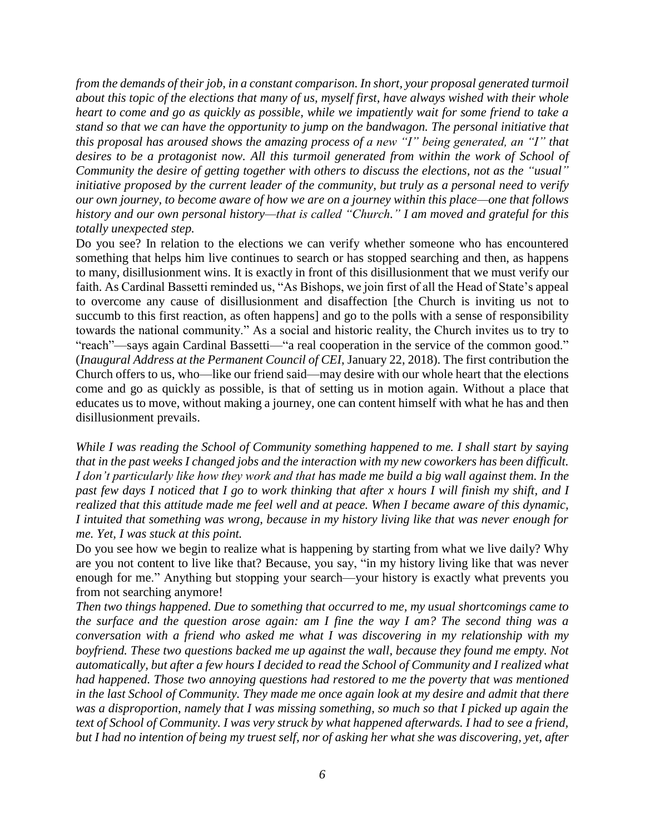*from the demands of their job, in a constant comparison. In short, your proposal generated turmoil about this topic of the elections that many of us, myself first, have always wished with their whole heart to come and go as quickly as possible, while we impatiently wait for some friend to take a stand so that we can have the opportunity to jump on the bandwagon. The personal initiative that this proposal has aroused shows the amazing process of a new "I" being generated, an "I" that desires to be a protagonist now. All this turmoil generated from within the work of School of Community the desire of getting together with others to discuss the elections, not as the "usual" initiative proposed by the current leader of the community, but truly as a personal need to verify our own journey, to become aware of how we are on a journey within this place—one that follows history and our own personal history—that is called "Church." I am moved and grateful for this totally unexpected step.*

Do you see? In relation to the elections we can verify whether someone who has encountered something that helps him live continues to search or has stopped searching and then, as happens to many, disillusionment wins. It is exactly in front of this disillusionment that we must verify our faith. As Cardinal Bassetti reminded us, "As Bishops, we join first of all the Head of State's appeal to overcome any cause of disillusionment and disaffection [the Church is inviting us not to succumb to this first reaction, as often happens] and go to the polls with a sense of responsibility towards the national community." As a social and historic reality, the Church invites us to try to "reach"—says again Cardinal Bassetti—"a real cooperation in the service of the common good." (*Inaugural Address at the Permanent Council of CEI*, January 22, 2018). The first contribution the Church offers to us, who—like our friend said—may desire with our whole heart that the elections come and go as quickly as possible, is that of setting us in motion again. Without a place that educates us to move, without making a journey, one can content himself with what he has and then disillusionment prevails.

*While I was reading the School of Community something happened to me. I shall start by saying that in the past weeks I changed jobs and the interaction with my new coworkers has been difficult. I don't particularly like how they work and that has made me build a big wall against them. In the past few days I noticed that I go to work thinking that after x hours I will finish my shift, and I realized that this attitude made me feel well and at peace. When I became aware of this dynamic, I intuited that something was wrong, because in my history living like that was never enough for me. Yet, I was stuck at this point.*

Do you see how we begin to realize what is happening by starting from what we live daily? Why are you not content to live like that? Because, you say, "in my history living like that was never enough for me." Anything but stopping your search—your history is exactly what prevents you from not searching anymore!

*Then two things happened. Due to something that occurred to me, my usual shortcomings came to the surface and the question arose again: am I fine the way I am? The second thing was a conversation with a friend who asked me what I was discovering in my relationship with my boyfriend. These two questions backed me up against the wall, because they found me empty. Not automatically, but after a few hours I decided to read the School of Community and I realized what had happened. Those two annoying questions had restored to me the poverty that was mentioned in the last School of Community. They made me once again look at my desire and admit that there was a disproportion, namely that I was missing something, so much so that I picked up again the text of School of Community. I was very struck by what happened afterwards. I had to see a friend, but I had no intention of being my truest self, nor of asking her what she was discovering, yet, after*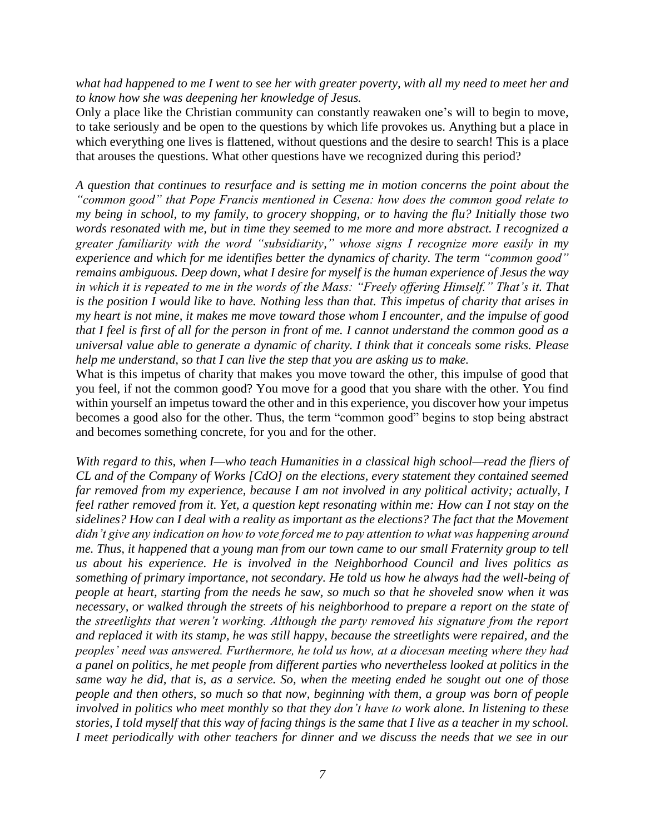*what had happened to me I went to see her with greater poverty, with all my need to meet her and to know how she was deepening her knowledge of Jesus.*

Only a place like the Christian community can constantly reawaken one's will to begin to move, to take seriously and be open to the questions by which life provokes us. Anything but a place in which everything one lives is flattened, without questions and the desire to search! This is a place that arouses the questions. What other questions have we recognized during this period?

*A question that continues to resurface and is setting me in motion concerns the point about the "common good" that Pope Francis mentioned in Cesena: how does the common good relate to my being in school, to my family, to grocery shopping, or to having the flu? Initially those two words resonated with me, but in time they seemed to me more and more abstract. I recognized a greater familiarity with the word "subsidiarity," whose signs I recognize more easily in my experience and which for me identifies better the dynamics of charity. The term "common good" remains ambiguous. Deep down, what I desire for myself is the human experience of Jesus the way in which it is repeated to me in the words of the Mass: "Freely offering Himself." That's it. That is the position I would like to have. Nothing less than that. This impetus of charity that arises in my heart is not mine, it makes me move toward those whom I encounter, and the impulse of good that I feel is first of all for the person in front of me. I cannot understand the common good as a universal value able to generate a dynamic of charity. I think that it conceals some risks. Please help me understand, so that I can live the step that you are asking us to make.*

What is this impetus of charity that makes you move toward the other, this impulse of good that you feel, if not the common good? You move for a good that you share with the other. You find within yourself an impetus toward the other and in this experience, you discover how your impetus becomes a good also for the other. Thus, the term "common good" begins to stop being abstract and becomes something concrete, for you and for the other.

*With regard to this, when I—who teach Humanities in a classical high school—read the fliers of CL and of the Company of Works [CdO] on the elections, every statement they contained seemed far removed from my experience, because I am not involved in any political activity; actually, I feel rather removed from it. Yet, a question kept resonating within me: How can I not stay on the sidelines? How can I deal with a reality as important as the elections? The fact that the Movement didn't give any indication on how to vote forced me to pay attention to what was happening around me. Thus, it happened that a young man from our town came to our small Fraternity group to tell us about his experience. He is involved in the Neighborhood Council and lives politics as something of primary importance, not secondary. He told us how he always had the well-being of people at heart, starting from the needs he saw, so much so that he shoveled snow when it was necessary, or walked through the streets of his neighborhood to prepare a report on the state of the streetlights that weren't working. Although the party removed his signature from the report and replaced it with its stamp, he was still happy, because the streetlights were repaired, and the peoples' need was answered. Furthermore, he told us how, at a diocesan meeting where they had a panel on politics, he met people from different parties who nevertheless looked at politics in the same way he did, that is, as a service. So, when the meeting ended he sought out one of those people and then others, so much so that now, beginning with them, a group was born of people involved in politics who meet monthly so that they don't have to work alone. In listening to these stories, I told myself that this way of facing things is the same that I live as a teacher in my school. I meet periodically with other teachers for dinner and we discuss the needs that we see in our*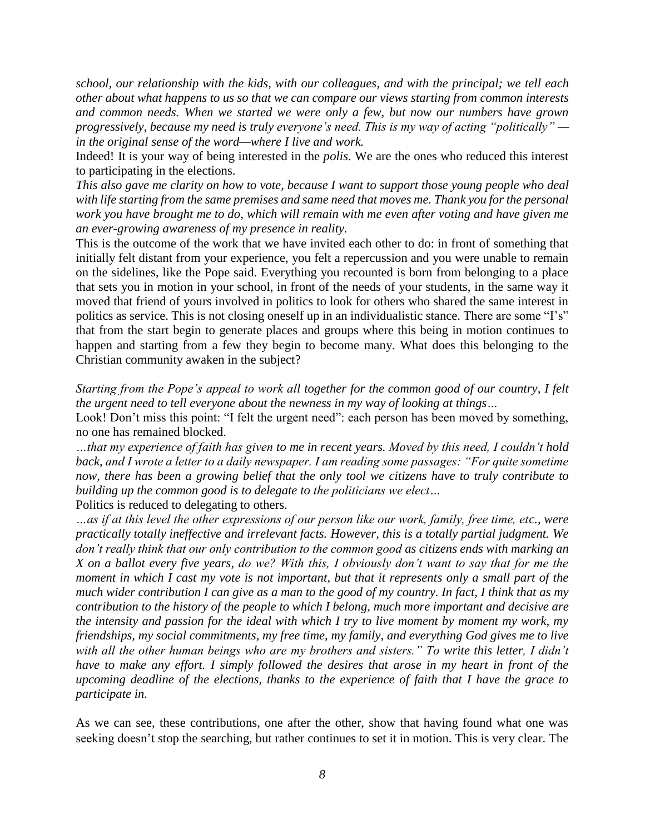*school, our relationship with the kids, with our colleagues, and with the principal; we tell each other about what happens to us so that we can compare our views starting from common interests and common needs. When we started we were only a few, but now our numbers have grown progressively, because my need is truly everyone's need. This is my way of acting "politically" in the original sense of the word—where I live and work.*

Indeed! It is your way of being interested in the *polis*. We are the ones who reduced this interest to participating in the elections.

*This also gave me clarity on how to vote, because I want to support those young people who deal with life starting from the same premises and same need that moves me. Thank you for the personal work you have brought me to do, which will remain with me even after voting and have given me an ever-growing awareness of my presence in reality.*

This is the outcome of the work that we have invited each other to do: in front of something that initially felt distant from your experience, you felt a repercussion and you were unable to remain on the sidelines, like the Pope said. Everything you recounted is born from belonging to a place that sets you in motion in your school, in front of the needs of your students, in the same way it moved that friend of yours involved in politics to look for others who shared the same interest in politics as service. This is not closing oneself up in an individualistic stance. There are some "I's" that from the start begin to generate places and groups where this being in motion continues to happen and starting from a few they begin to become many. What does this belonging to the Christian community awaken in the subject?

*Starting from the Pope's appeal to work all together for the common good of our country, I felt the urgent need to tell everyone about the newness in my way of looking at things…*

Look! Don't miss this point: "I felt the urgent need": each person has been moved by something, no one has remained blocked.

*…that my experience of faith has given to me in recent years. Moved by this need, I couldn't hold back, and I wrote a letter to a daily newspaper. I am reading some passages: "For quite sometime now, there has been a growing belief that the only tool we citizens have to truly contribute to building up the common good is to delegate to the politicians we elect…*

Politics is reduced to delegating to others.

*…as if at this level the other expressions of our person like our work, family, free time, etc., were practically totally ineffective and irrelevant facts. However, this is a totally partial judgment. We don't really think that our only contribution to the common good as citizens ends with marking an X on a ballot every five years, do we? With this, I obviously don't want to say that for me the moment in which I cast my vote is not important, but that it represents only a small part of the much wider contribution I can give as a man to the good of my country. In fact, I think that as my contribution to the history of the people to which I belong, much more important and decisive are the intensity and passion for the ideal with which I try to live moment by moment my work, my friendships, my social commitments, my free time, my family, and everything God gives me to live with all the other human beings who are my brothers and sisters." To write this letter, I didn't have to make any effort. I simply followed the desires that arose in my heart in front of the upcoming deadline of the elections, thanks to the experience of faith that I have the grace to participate in.*

As we can see, these contributions, one after the other, show that having found what one was seeking doesn't stop the searching, but rather continues to set it in motion. This is very clear. The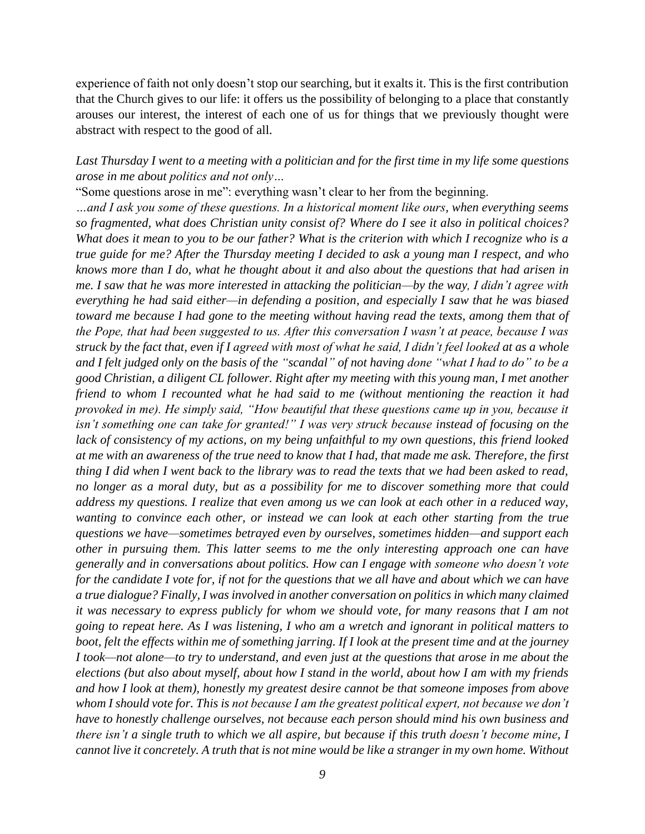experience of faith not only doesn't stop our searching, but it exalts it. This is the first contribution that the Church gives to our life: it offers us the possibility of belonging to a place that constantly arouses our interest, the interest of each one of us for things that we previously thought were abstract with respect to the good of all.

# *Last Thursday I went to a meeting with a politician and for the first time in my life some questions arose in me about politics and not only…*

"Some questions arose in me": everything wasn't clear to her from the beginning.

*…and I ask you some of these questions. In a historical moment like ours, when everything seems so fragmented, what does Christian unity consist of? Where do I see it also in political choices? What does it mean to you to be our father? What is the criterion with which I recognize who is a true guide for me? After the Thursday meeting I decided to ask a young man I respect, and who knows more than I do, what he thought about it and also about the questions that had arisen in me. I saw that he was more interested in attacking the politician—by the way, I didn't agree with everything he had said either—in defending a position, and especially I saw that he was biased toward me because I had gone to the meeting without having read the texts, among them that of the Pope, that had been suggested to us. After this conversation I wasn't at peace, because I was struck by the fact that, even if I agreed with most of what he said, I didn't feel looked at as a whole and I felt judged only on the basis of the "scandal" of not having done "what I had to do" to be a good Christian, a diligent CL follower. Right after my meeting with this young man, I met another friend to whom I recounted what he had said to me (without mentioning the reaction it had provoked in me). He simply said, "How beautiful that these questions came up in you, because it isn't something one can take for granted!" I was very struck because instead of focusing on the lack of consistency of my actions, on my being unfaithful to my own questions, this friend looked at me with an awareness of the true need to know that I had, that made me ask. Therefore, the first thing I did when I went back to the library was to read the texts that we had been asked to read, no longer as a moral duty, but as a possibility for me to discover something more that could address my questions. I realize that even among us we can look at each other in a reduced way, wanting to convince each other, or instead we can look at each other starting from the true questions we have—sometimes betrayed even by ourselves, sometimes hidden—and support each other in pursuing them. This latter seems to me the only interesting approach one can have generally and in conversations about politics. How can I engage with someone who doesn't vote for the candidate I vote for, if not for the questions that we all have and about which we can have a true dialogue? Finally, I was involved in another conversation on politics in which many claimed it was necessary to express publicly for whom we should vote, for many reasons that I am not going to repeat here. As I was listening, I who am a wretch and ignorant in political matters to boot, felt the effects within me of something jarring. If I look at the present time and at the journey I took—not alone—to try to understand, and even just at the questions that arose in me about the elections (but also about myself, about how I stand in the world, about how I am with my friends and how I look at them), honestly my greatest desire cannot be that someone imposes from above whom I should vote for. This is not because I am the greatest political expert, not because we don't have to honestly challenge ourselves, not because each person should mind his own business and there isn't a single truth to which we all aspire, but because if this truth doesn't become mine, I cannot live it concretely. A truth that is not mine would be like a stranger in my own home. Without*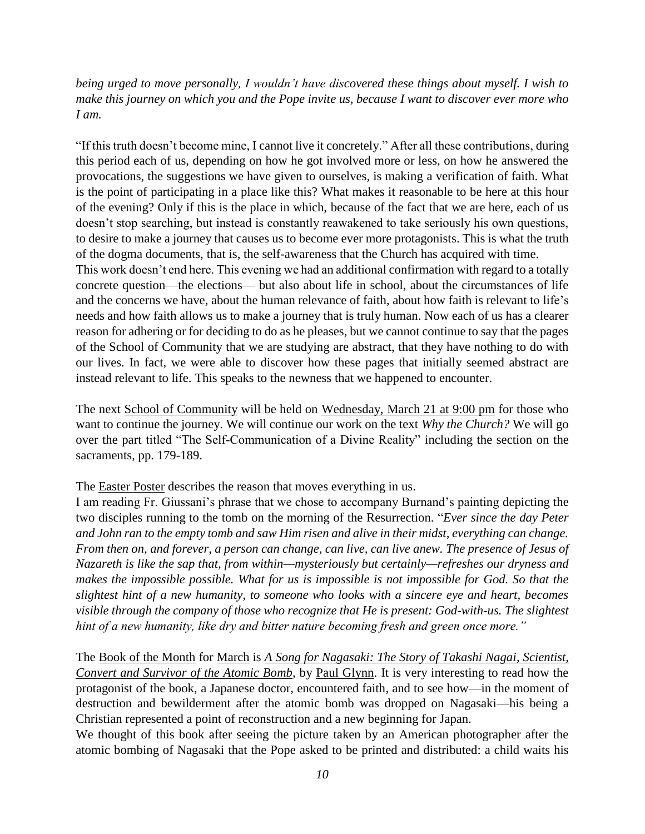*being urged to move personally, I wouldn't have discovered these things about myself. I wish to make this journey on which you and the Pope invite us, because I want to discover ever more who I am.*

"If this truth doesn't become mine, I cannot live it concretely." After all these contributions, during this period each of us, depending on how he got involved more or less, on how he answered the provocations, the suggestions we have given to ourselves, is making a verification of faith. What is the point of participating in a place like this? What makes it reasonable to be here at this hour of the evening? Only if this is the place in which, because of the fact that we are here, each of us doesn't stop searching, but instead is constantly reawakened to take seriously his own questions, to desire to make a journey that causes us to become ever more protagonists. This is what the truth of the dogma documents, that is, the self-awareness that the Church has acquired with time. This work doesn't end here. This evening we had an additional confirmation with regard to a totally concrete question—the elections— but also about life in school, about the circumstances of life and the concerns we have, about the human relevance of faith, about how faith is relevant to life's needs and how faith allows us to make a journey that is truly human. Now each of us has a clearer reason for adhering or for deciding to do as he pleases, but we cannot continue to say that the pages of the School of Community that we are studying are abstract, that they have nothing to do with our lives. In fact, we were able to discover how these pages that initially seemed abstract are instead relevant to life. This speaks to the newness that we happened to encounter.

The next School of Community will be held on Wednesday, March 21 at 9:00 pm for those who want to continue the journey. We will continue our work on the text *Why the Church?* We will go over the part titled "The Self-Communication of a Divine Reality" including the section on the sacraments, pp. 179-189.

The Easter Poster describes the reason that moves everything in us.

I am reading Fr. Giussani's phrase that we chose to accompany Burnand's painting depicting the two disciples running to the tomb on the morning of the Resurrection. "*Ever since the day Peter and John ran to the empty tomb and saw Him risen and alive in their midst, everything can change. From then on, and forever, a person can change, can live, can live anew. The presence of Jesus of Nazareth is like the sap that, from within—mysteriously but certainly—refreshes our dryness and makes the impossible possible. What for us is impossible is not impossible for God. So that the slightest hint of a new humanity, to someone who looks with a sincere eye and heart, becomes visible through the company of those who recognize that He is present: God-with-us. The slightest hint of a new humanity, like dry and bitter nature becoming fresh and green once more."*

The Book of the Month for March is *A Song for Nagasaki: The Story of Takashi Nagai, Scientist, Convert and Survivor of the Atomic Bomb,* by Paul Glynn. It is very interesting to read how the protagonist of the book, a Japanese doctor, encountered faith, and to see how—in the moment of destruction and bewilderment after the atomic bomb was dropped on Nagasaki—his being a Christian represented a point of reconstruction and a new beginning for Japan.

We thought of this book after seeing the picture taken by an American photographer after the atomic bombing of Nagasaki that the Pope asked to be printed and distributed: a child waits his